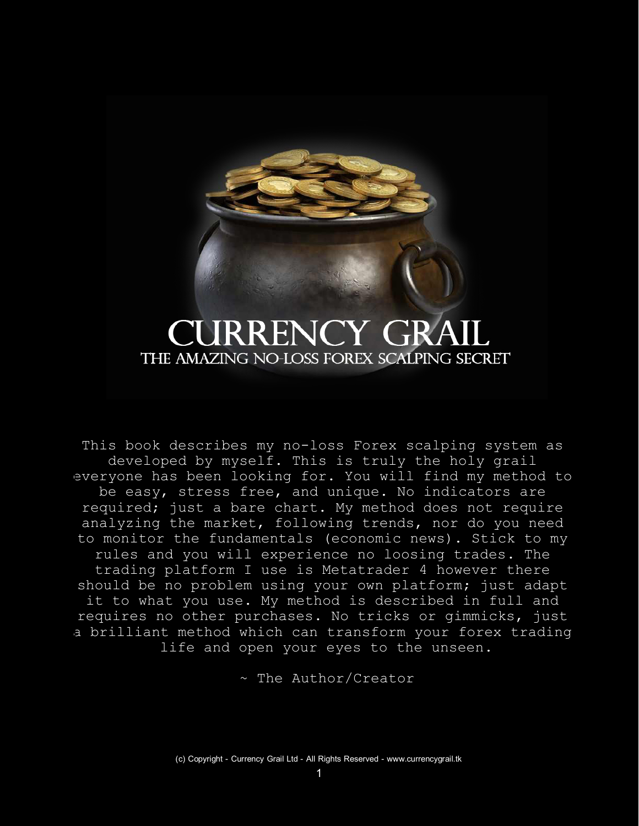# **JRRENCY GRA** THE AMAZING NO-LOSS FOREX SCALPING SECRET

This book describes my no-loss Forex scalping system as developed by myself. This is truly the holy grail everyone has been looking for. You will find my method to be easy, stress free, and unique. No indicators are required; just a bare chart. My method does not require analyzing the market, following trends, nor do you need to monitor the fundamentals (economic news). Stick to my rules and you will experience no loosing trades. The trading platform I use is Metatrader 4 however there should be no problem using your own platform; just adapt it to what you use. My method is described in full and requires no other purchases. No tricks or gimmicks, just a brilliant method which can transform your forex trading life and open your eyes to the unseen.

~ The Author/Creator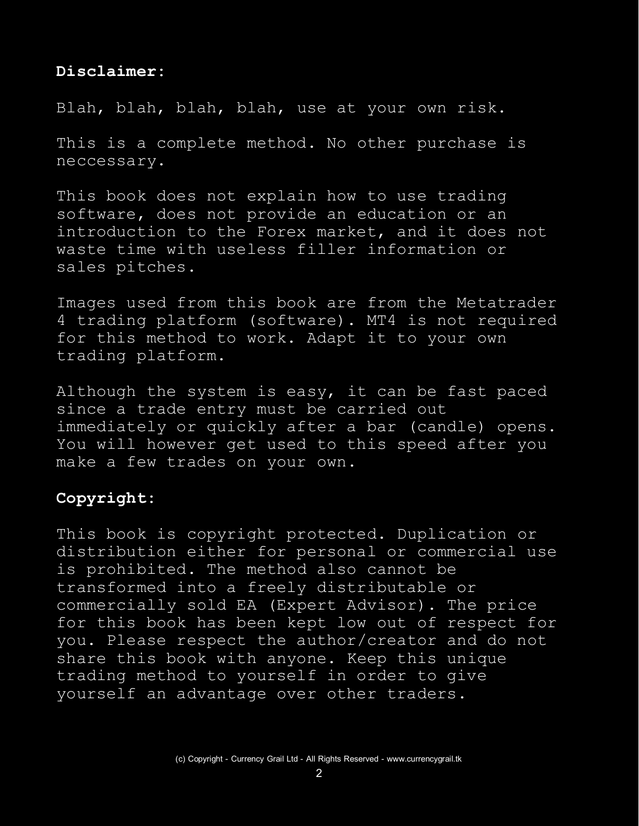#### **Disclaimer:**

Blah, blah, blah, blah, use at your own risk.

This is a complete method. No other purchase is neccessary.

This book does not explain how to use trading software, does not provide an education or an introduction to the Forex market, and it does not waste time with useless filler information or sales pitches.

Images used from this book are from the Metatrader 4 trading platform (software). MT4 is not required for this method to work. Adapt it to your own trading platform.

Although the system is easy, it can be fast paced since a trade entry must be carried out immediately or quickly after a bar (candle) opens. You will however get used to this speed after you make a few trades on your own.

## **Copyright:**

This book is copyright protected. Duplication or distribution either for personal or commercial use is prohibited. The method also cannot be transformed into a freely distributable or commercially sold EA (Expert Advisor). The price for this book has been kept low out of respect for you. Please respect the author/creator and do not share this book with anyone. Keep this unique trading method to yourself in order to give yourself an advantage over other traders.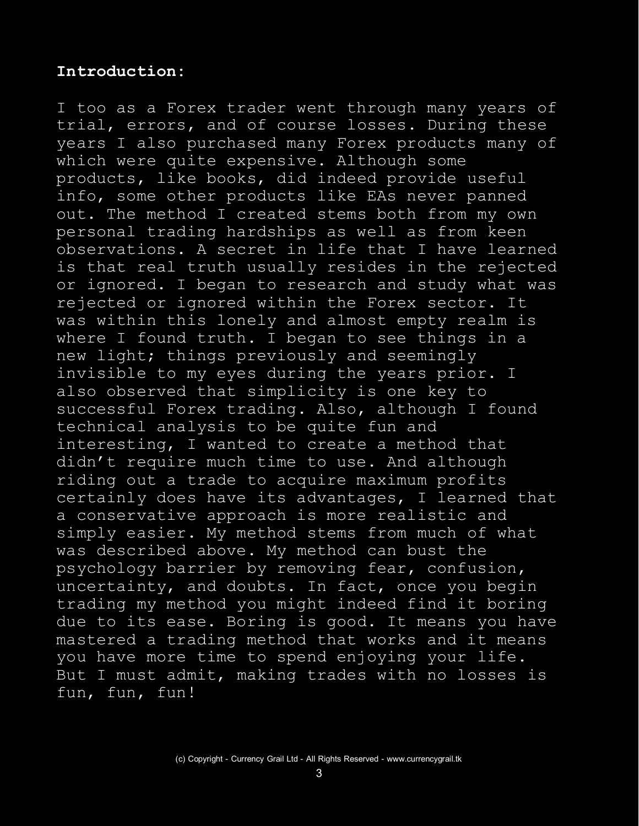## **Introduction:**

I too as a Forex trader went through many years of trial, errors, and of course losses. During these years I also purchased many Forex products many of which were quite expensive. Although some products, like books, did indeed provide useful info, some other products like EAs never panned out. The method I created stems both from my own personal trading hardships as well as from keen observations. A secret in life that I have learned is that real truth usually resides in the rejected or ignored. I began to research and study what was rejected or ignored within the Forex sector. It was within this lonely and almost empty realm is where I found truth. I began to see things in a new light; things previously and seemingly invisible to my eyes during the years prior. I also observed that simplicity is one key to successful Forex trading. Also, although I found technical analysis to be quite fun and interesting, I wanted to create a method that didn't require much time to use. And although riding out a trade to acquire maximum profits certainly does have its advantages, I learned that a conservative approach is more realistic and simply easier. My method stems from much of what was described above. My method can bust the psychology barrier by removing fear, confusion, uncertainty, and doubts. In fact, once you begin trading my method you might indeed find it boring due to its ease. Boring is good. It means you have mastered a trading method that works and it means you have more time to spend enjoying your life. But I must admit, making trades with no losses is fun, fun, fun!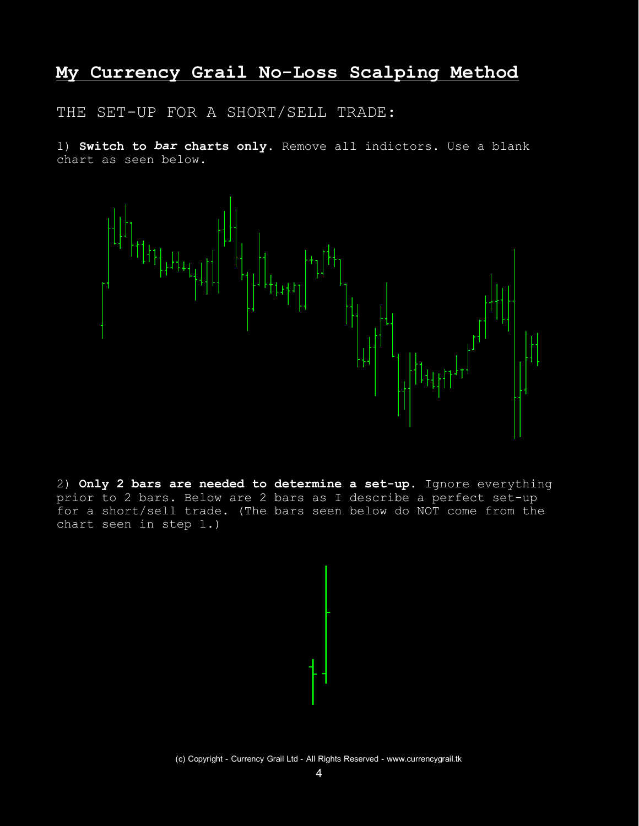## **My Currency Grail No-Loss Scalping Method**

THE SET-UP FOR A SHORT/SELL TRADE:

1) **Switch to** *bar* **charts only**. Remove all indictors. Use a blank chart as seen below.



2) **Only 2 bars are needed to determine a set-up**. Ignore everything prior to 2 bars. Below are 2 bars as I describe a perfect set-up for a short/sell trade. (The bars seen below do NOT come from the chart seen in step 1.)

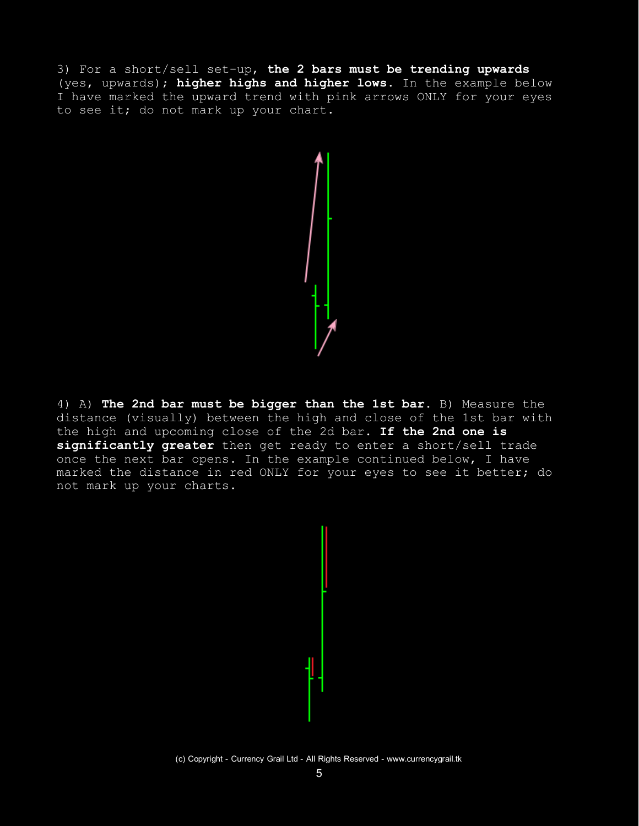3) For a short/sell set-up, **the 2 bars must be trending upwards** (yes, upwards); **higher highs and higher lows**. In the example below I have marked the upward trend with pink arrows ONLY for your eyes to see it; do not mark up your chart.



4) A) **The 2nd bar must be bigger than the 1st bar**. B) Measure the distance (visually) between the high and close of the 1st bar with the high and upcoming close of the 2d bar. **If the 2nd one is significantly greater** then get ready to enter a short/sell trade once the next bar opens. In the example continued below, I have marked the distance in red ONLY for your eyes to see it better; do not mark up your charts.



(c) Copyright - Currency Grail Ltd - All Rights Reserved - www.currencygrail.tk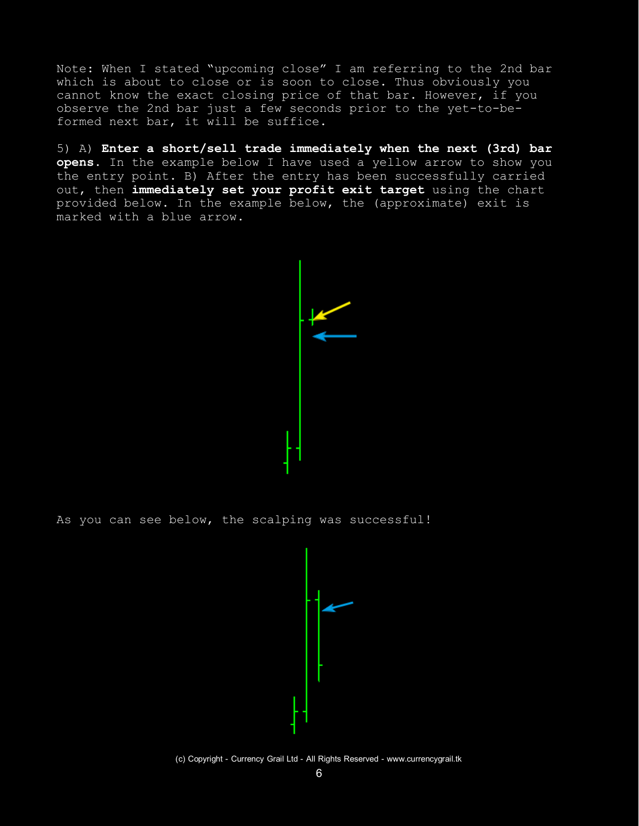Note: When I stated "upcoming close" I am referring to the 2nd bar which is about to close or is soon to close. Thus obviously you cannot know the exact closing price of that bar. However, if you observe the 2nd bar just a few seconds prior to the yet-to-beformed next bar, it will be suffice.

5) A) **Enter a short/sell trade immediately when the next (3rd) bar opens**. In the example below I have used a yellow arrow to show you the entry point. B) After the entry has been successfully carried out, then **immediately set your profit exit target** using the chart provided below. In the example below, the (approximate) exit is marked with a blue arrow.

As you can see below, the scalping was successful!



(c) Copyright - Currency Grail Ltd - All Rights Reserved - www.currencygrail.tk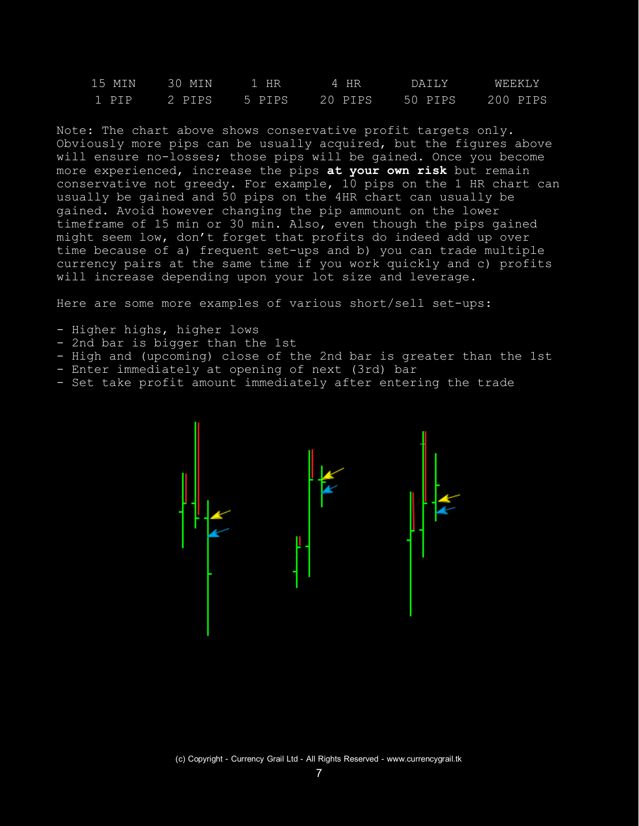| 15 MIN | 30 MIN | 1 HR          | $-4$ HR | DAILY.           | WEEKLY |
|--------|--------|---------------|---------|------------------|--------|
| 1 PIP  |        | 2 PIPS 5 PIPS | 20 PIPS | 50 PIPS 200 PIPS |        |

Note: The chart above shows conservative profit targets only. Obviously more pips can be usually acquired, but the figures above will ensure no-losses; those pips will be gained. Once you become more experienced, increase the pips **at your own risk** but remain conservative not greedy. For example, 10 pips on the 1 HR chart can usually be gained and 50 pips on the 4HR chart can usually be gained. Avoid however changing the pip ammount on the lower timeframe of 15 min or 30 min. Also, even though the pips gained might seem low, don't forget that profits do indeed add up over time because of a) frequent set-ups and b) you can trade multiple currency pairs at the same time if you work quickly and c) profits will increase depending upon your lot size and leverage.

Here are some more examples of various short/sell set-ups:

- Higher highs, higher lows
- 2nd bar is bigger than the 1st
- High and (upcoming) close of the 2nd bar is greater than the 1st
- Enter immediately at opening of next (3rd) bar
- Set take profit amount immediately after entering the trade

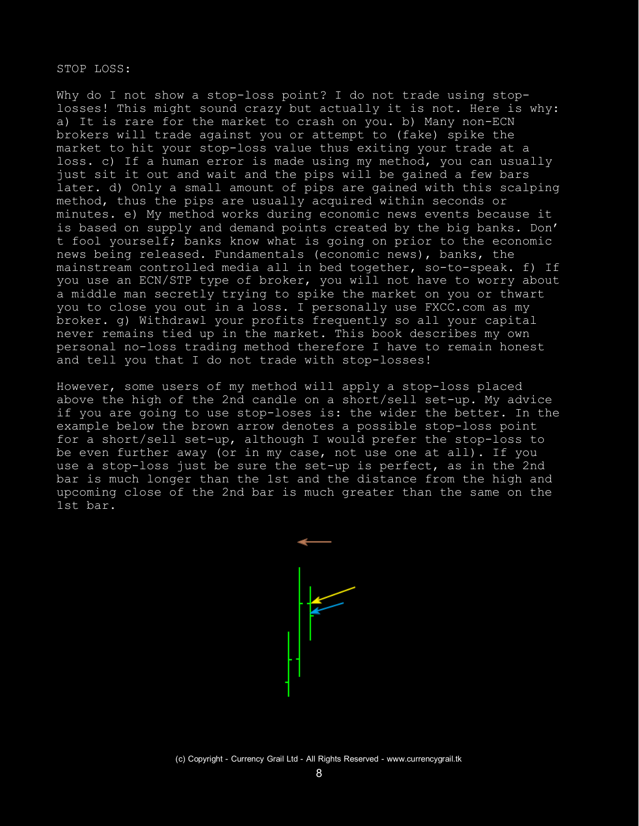#### STOP LOSS:

Why do I not show a stop-loss point? I do not trade using stoplosses! This might sound crazy but actually it is not. Here is why: a) It is rare for the market to crash on you. b) Many non-ECN brokers will trade against you or attempt to (fake) spike the market to hit your stop-loss value thus exiting your trade at a loss. c) If a human error is made using my method, you can usually just sit it out and wait and the pips will be gained a few bars later. d) Only a small amount of pips are gained with this scalping method, thus the pips are usually acquired within seconds or minutes. e) My method works during economic news events because it is based on supply and demand points created by the big banks. Don' t fool yourself; banks know what is going on prior to the economic news being released. Fundamentals (economic news), banks, the mainstream controlled media all in bed together, so-to-speak. f) If you use an ECN/STP type of broker, you will not have to worry about a middle man secretly trying to spike the market on you or thwart you to close you out in a loss. I personally use FXCC.com as my broker. g) Withdrawl your profits frequently so all your capital never remains tied up in the market. This book describes my own personal no-loss trading method therefore I have to remain honest and tell you that I do not trade with stop-losses!

However, some users of my method will apply a stop-loss placed above the high of the 2nd candle on a short/sell set-up. My advice if you are going to use stop-loses is: the wider the better. In the example below the brown arrow denotes a possible stop-loss point for a short/sell set-up, although I would prefer the stop-loss to be even further away (or in my case, not use one at all). If you use a stop-loss just be sure the set-up is perfect, as in the 2nd bar is much longer than the 1st and the distance from the high and upcoming close of the 2nd bar is much greater than the same on the 1st bar.

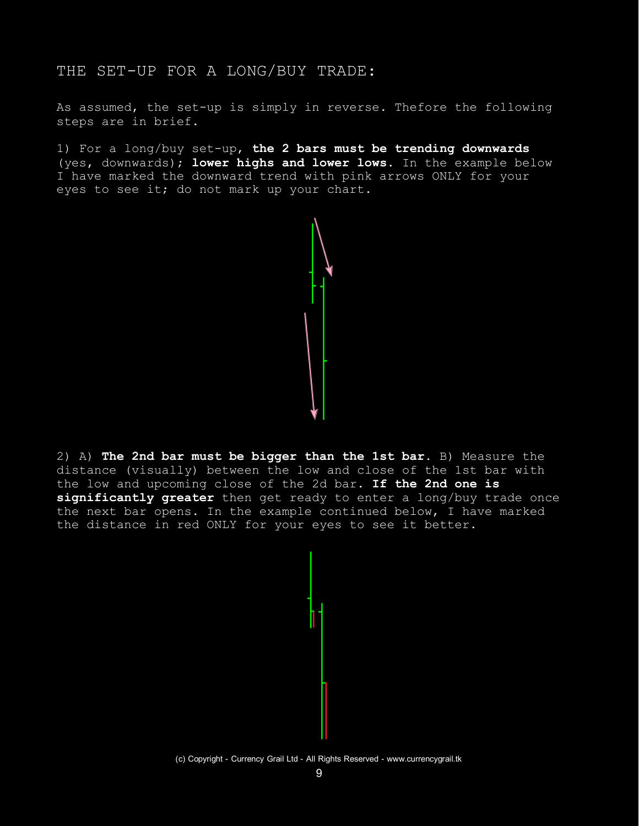## THE SET-UP FOR A LONG/BUY TRADE:

As assumed, the set-up is simply in reverse. Thefore the following steps are in brief.

1) For a long/buy set-up, **the 2 bars must be trending downwards** (yes, downwards); **lower highs and lower lows**. In the example below I have marked the downward trend with pink arrows ONLY for your eyes to see it; do not mark up your chart.



2) A) **The 2nd bar must be bigger than the 1st bar**. B) Measure the distance (visually) between the low and close of the 1st bar with the low and upcoming close of the 2d bar. **If the 2nd one is significantly greater** then get ready to enter a long/buy trade once the next bar opens. In the example continued below, I have marked the distance in red ONLY for your eyes to see it better.



<sup>(</sup>c) Copyright - Currency Grail Ltd - All Rights Reserved - www.currencygrail.tk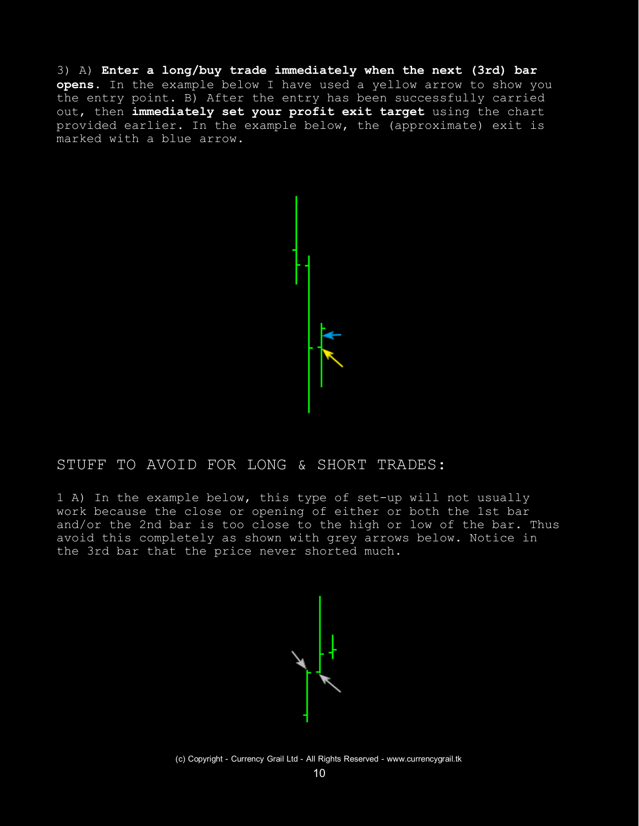3) A) **Enter a long/buy trade immediately when the next (3rd) bar opens**. In the example below I have used a yellow arrow to show you the entry point. B) After the entry has been successfully carried out, then **immediately set your profit exit target** using the chart provided earlier. In the example below, the (approximate) exit is marked with a blue arrow.



#### STUFF TO AVOID FOR LONG & SHORT TRADES:

1 A) In the example below, this type of set-up will not usually work because the close or opening of either or both the 1st bar and/or the 2nd bar is too close to the high or low of the bar. Thus avoid this completely as shown with grey arrows below. Notice in the 3rd bar that the price never shorted much.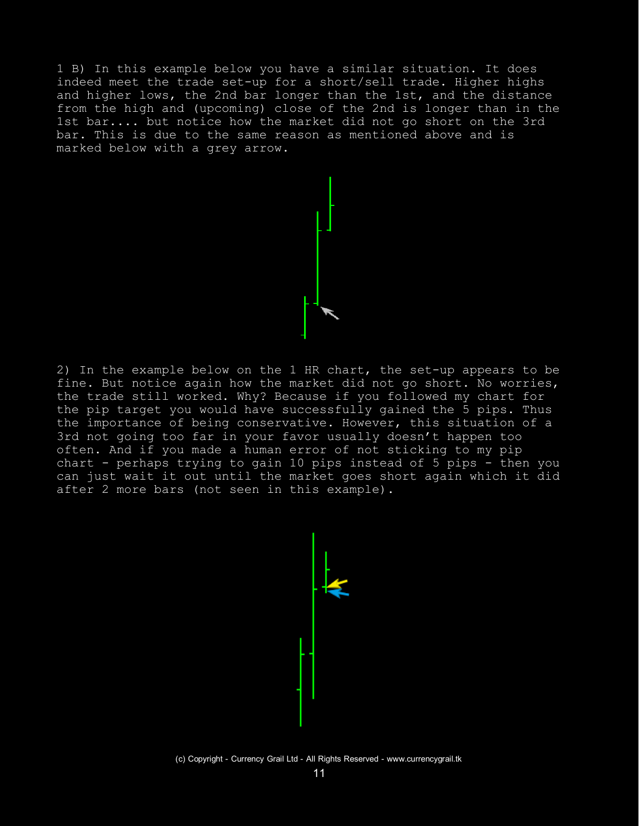1 B) In this example below you have a similar situation. It does indeed meet the trade set-up for a short/sell trade. Higher highs and higher lows, the 2nd bar longer than the 1st, and the distance from the high and (upcoming) close of the 2nd is longer than in the 1st bar.... but notice how the market did not go short on the 3rd bar. This is due to the same reason as mentioned above and is marked below with a grey arrow.

2) In the example below on the 1 HR chart, the set-up appears to be fine. But notice again how the market did not go short. No worries, the trade still worked. Why? Because if you followed my chart for the pip target you would have successfully gained the 5 pips. Thus the importance of being conservative. However, this situation of a 3rd not going too far in your favor usually doesn't happen too often. And if you made a human error of not sticking to my pip chart - perhaps trying to gain 10 pips instead of 5 pips - then you can just wait it out until the market goes short again which it did after 2 more bars (not seen in this example).



(c) Copyright - Currency Grail Ltd - All Rights Reserved - www.currencygrail.tk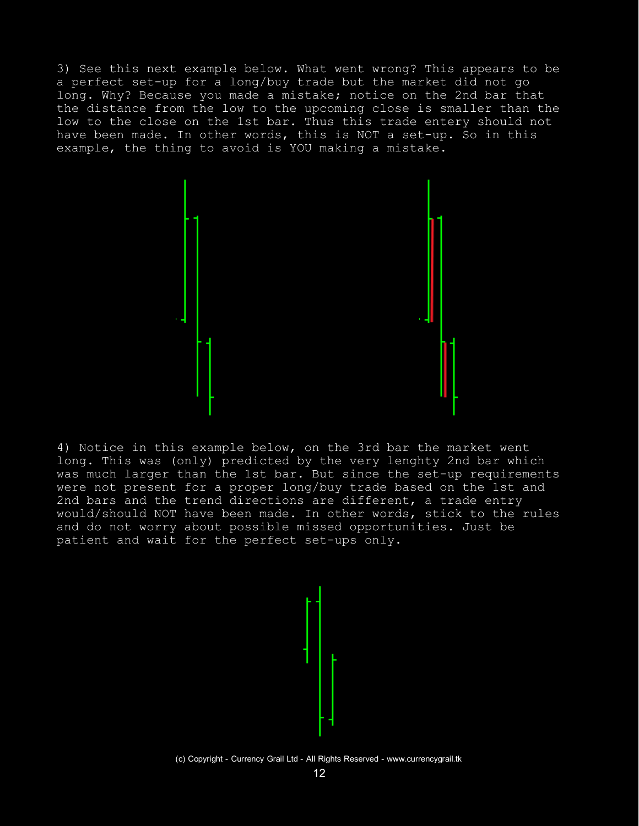3) See this next example below. What went wrong? This appears to be a perfect set-up for a long/buy trade but the market did not go long. Why? Because you made a mistake; notice on the 2nd bar that the distance from the low to the upcoming close is smaller than the low to the close on the 1st bar. Thus this trade entery should not have been made. In other words, this is NOT a set-up. So in this example, the thing to avoid is YOU making a mistake.



4) Notice in this example below, on the 3rd bar the market went long. This was (only) predicted by the very lenghty 2nd bar which was much larger than the 1st bar. But since the set-up requirements were not present for a proper long/buy trade based on the 1st and 2nd bars and the trend directions are different, a trade entry would/should NOT have been made. In other words, stick to the rules and do not worry about possible missed opportunities. Just be patient and wait for the perfect set-ups only.



(c) Copyright - Currency Grail Ltd - All Rights Reserved - www.currencygrail.tk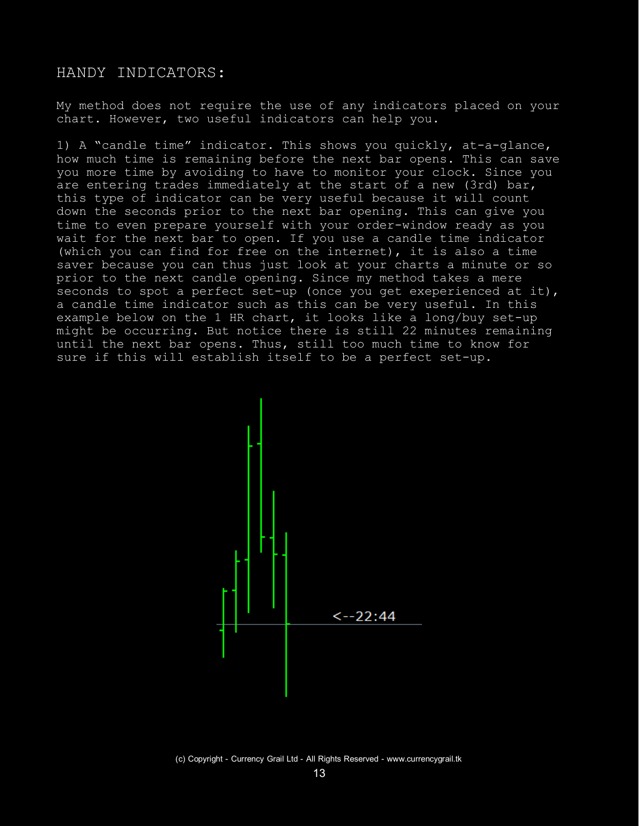#### HANDY INDICATORS:

My method does not require the use of any indicators placed on your chart. However, two useful indicators can help you.

1) A "candle time" indicator. This shows you quickly, at-a-glance, how much time is remaining before the next bar opens. This can save you more time by avoiding to have to monitor your clock. Since you are entering trades immediately at the start of a new (3rd) bar, this type of indicator can be very useful because it will count down the seconds prior to the next bar opening. This can give you time to even prepare yourself with your order-window ready as you wait for the next bar to open. If you use a candle time indicator (which you can find for free on the internet), it is also a time saver because you can thus just look at your charts a minute or so prior to the next candle opening. Since my method takes a mere seconds to spot a perfect set-up (once you get exeperienced at it), a candle time indicator such as this can be very useful. In this example below on the 1 HR chart, it looks like a long/buy set-up might be occurring. But notice there is still 22 minutes remaining until the next bar opens. Thus, still too much time to know for sure if this will establish itself to be a perfect set-up.



(c) Copyright - Currency Grail Ltd - All Rights Reserved - www.currencygrail.tk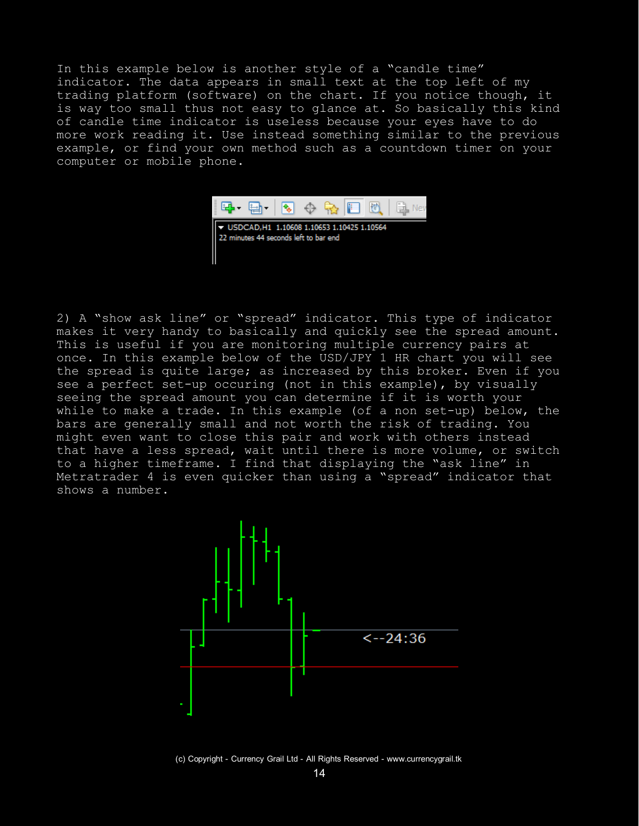In this example below is another style of a "candle time" indicator. The data appears in small text at the top left of my trading platform (software) on the chart. If you notice though, it is way too small thus not easy to glance at. So basically this kind of candle time indicator is useless because your eyes have to do more work reading it. Use instead something similar to the previous example, or find your own method such as a countdown timer on your computer or mobile phone.



▼ USDCAD, H1 1.10608 1.10653 1.10425 1.10564 22 minutes 44 seconds left to bar end

2) A "show ask line" or "spread" indicator. This type of indicator makes it very handy to basically and quickly see the spread amount. This is useful if you are monitoring multiple currency pairs at once. In this example below of the USD/JPY 1 HR chart you will see the spread is quite large; as increased by this broker. Even if you see a perfect set-up occuring (not in this example), by visually seeing the spread amount you can determine if it is worth your while to make a trade. In this example (of a non set-up) below, the bars are generally small and not worth the risk of trading. You might even want to close this pair and work with others instead that have a less spread, wait until there is more volume, or switch to a higher timeframe. I find that displaying the "ask line" in Metratrader 4 is even quicker than using a "spread" indicator that shows a number.



(c) Copyright - Currency Grail Ltd - All Rights Reserved - www.currencygrail.tk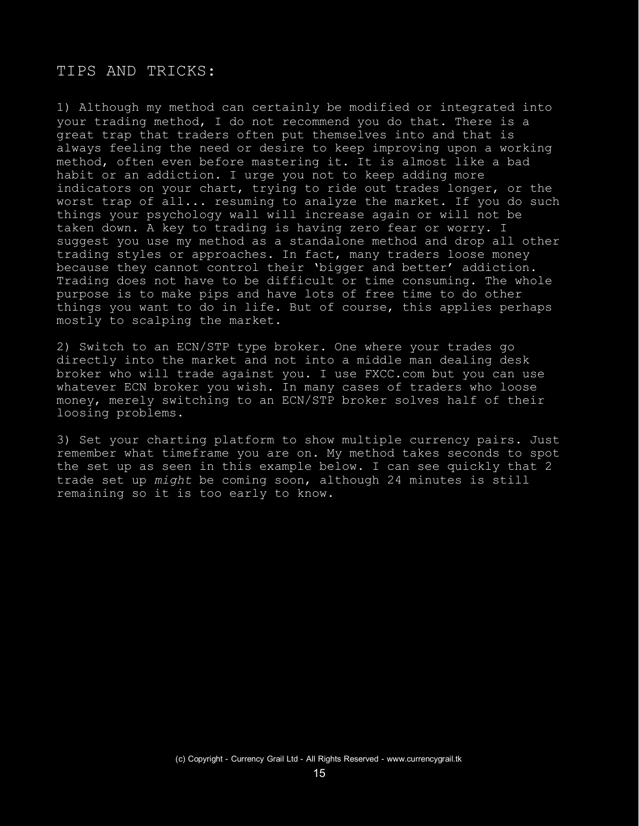#### TIPS AND TRICKS:

1) Although my method can certainly be modified or integrated into your trading method, I do not recommend you do that. There is a great trap that traders often put themselves into and that is always feeling the need or desire to keep improving upon a working method, often even before mastering it. It is almost like a bad habit or an addiction. I urge you not to keep adding more indicators on your chart, trying to ride out trades longer, or the worst trap of all... resuming to analyze the market. If you do such things your psychology wall will increase again or will not be taken down. A key to trading is having zero fear or worry. I suggest you use my method as a standalone method and drop all other trading styles or approaches. In fact, many traders loose money because they cannot control their 'bigger and better' addiction. Trading does not have to be difficult or time consuming. The whole purpose is to make pips and have lots of free time to do other things you want to do in life. But of course, this applies perhaps mostly to scalping the market.

2) Switch to an ECN/STP type broker. One where your trades go directly into the market and not into a middle man dealing desk broker who will trade against you. I use FXCC.com but you can use whatever ECN broker you wish. In many cases of traders who loose money, merely switching to an ECN/STP broker solves half of their loosing problems.

3) Set your charting platform to show multiple currency pairs. Just remember what timeframe you are on. My method takes seconds to spot the set up as seen in this example below. I can see quickly that 2 trade set up *might* be coming soon, although 24 minutes is still remaining so it is too early to know.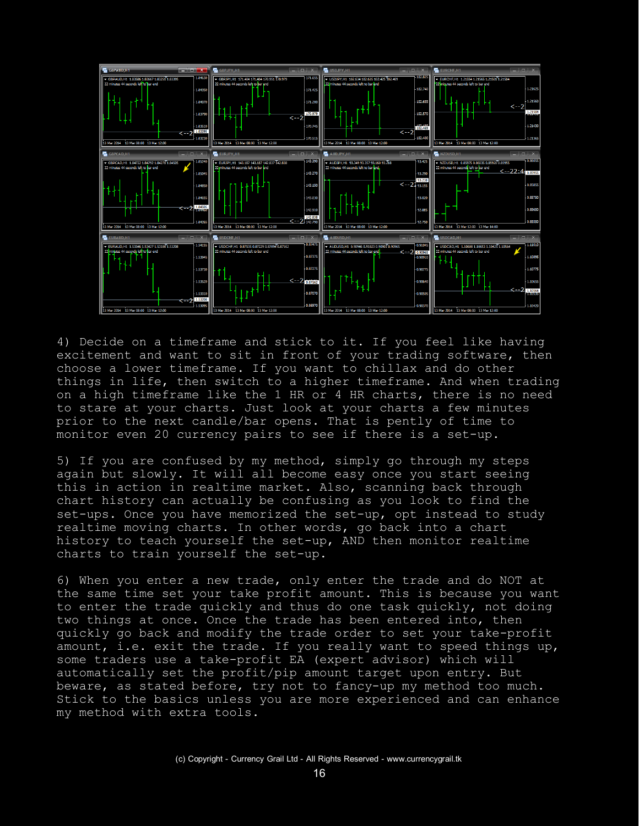

4) Decide on a timeframe and stick to it. If you feel like having excitement and want to sit in front of your trading software, then choose a lower timeframe. If you want to chillax and do other things in life, then switch to a higher timeframe. And when trading on a high timeframe like the 1 HR or 4 HR charts, there is no need to stare at your charts. Just look at your charts a few minutes prior to the next candle/bar opens. That is pently of time to monitor even 20 currency pairs to see if there is a set-up.

5) If you are confused by my method, simply go through my steps again but slowly. It will all become easy once you start seeing this in action in realtime market. Also, scanning back through chart history can actually be confusing as you look to find the set-ups. Once you have memorized the set-up, opt instead to study realtime moving charts. In other words, go back into a chart history to teach yourself the set-up, AND then monitor realtime charts to train yourself the set-up.

6) When you enter a new trade, only enter the trade and do NOT at the same time set your take profit amount. This is because you want to enter the trade quickly and thus do one task quickly, not doing two things at once. Once the trade has been entered into, then quickly go back and modify the trade order to set your take-profit amount, i.e. exit the trade. If you really want to speed things up, some traders use a take-profit EA (expert advisor) which will automatically set the profit/pip amount target upon entry. But beware, as stated before, try not to fancy-up my method too much. Stick to the basics unless you are more experienced and can enhance my method with extra tools.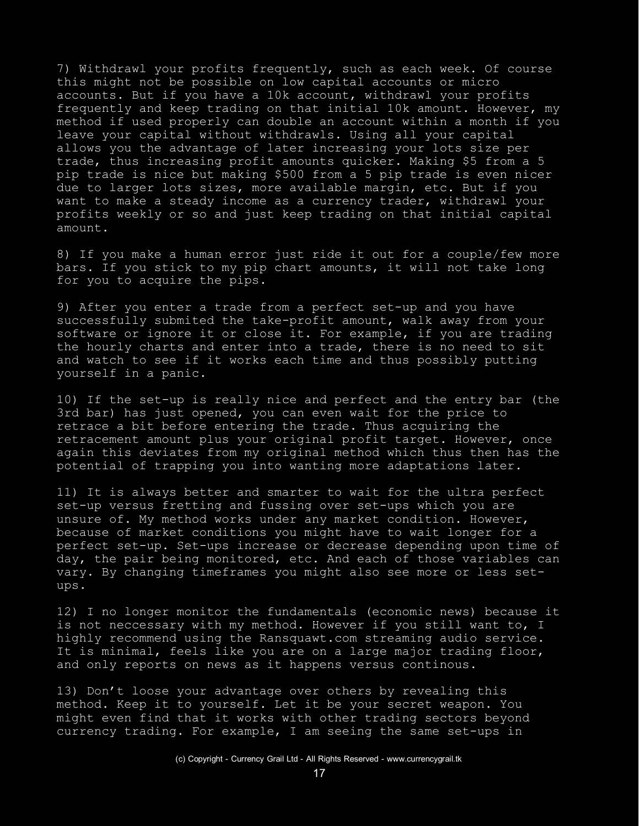7) Withdrawl your profits frequently, such as each week. Of course this might not be possible on low capital accounts or micro accounts. But if you have a 10k account, withdrawl your profits frequently and keep trading on that initial 10k amount. However, my method if used properly can double an account within a month if you leave your capital without withdrawls. Using all your capital allows you the advantage of later increasing your lots size per trade, thus increasing profit amounts quicker. Making \$5 from a 5 pip trade is nice but making \$500 from a 5 pip trade is even nicer due to larger lots sizes, more available margin, etc. But if you want to make a steady income as a currency trader, withdrawl your profits weekly or so and just keep trading on that initial capital amount.

8) If you make a human error just ride it out for a couple/few more bars. If you stick to my pip chart amounts, it will not take long for you to acquire the pips.

9) After you enter a trade from a perfect set-up and you have successfully submited the take-profit amount, walk away from your software or ignore it or close it. For example, if you are trading the hourly charts and enter into a trade, there is no need to sit and watch to see if it works each time and thus possibly putting yourself in a panic.

10) If the set-up is really nice and perfect and the entry bar (the 3rd bar) has just opened, you can even wait for the price to retrace a bit before entering the trade. Thus acquiring the retracement amount plus your original profit target. However, once again this deviates from my original method which thus then has the potential of trapping you into wanting more adaptations later.

11) It is always better and smarter to wait for the ultra perfect set-up versus fretting and fussing over set-ups which you are unsure of. My method works under any market condition. However, because of market conditions you might have to wait longer for a perfect set-up. Set-ups increase or decrease depending upon time of day, the pair being monitored, etc. And each of those variables can vary. By changing timeframes you might also see more or less setups.

12) I no longer monitor the fundamentals (economic news) because it is not neccessary with my method. However if you still want to, I highly recommend using the Ransquawt.com streaming audio service. It is minimal, feels like you are on a large major trading floor, and only reports on news as it happens versus continous.

13) Don't loose your advantage over others by revealing this method. Keep it to yourself. Let it be your secret weapon. You might even find that it works with other trading sectors beyond currency trading. For example, I am seeing the same set-ups in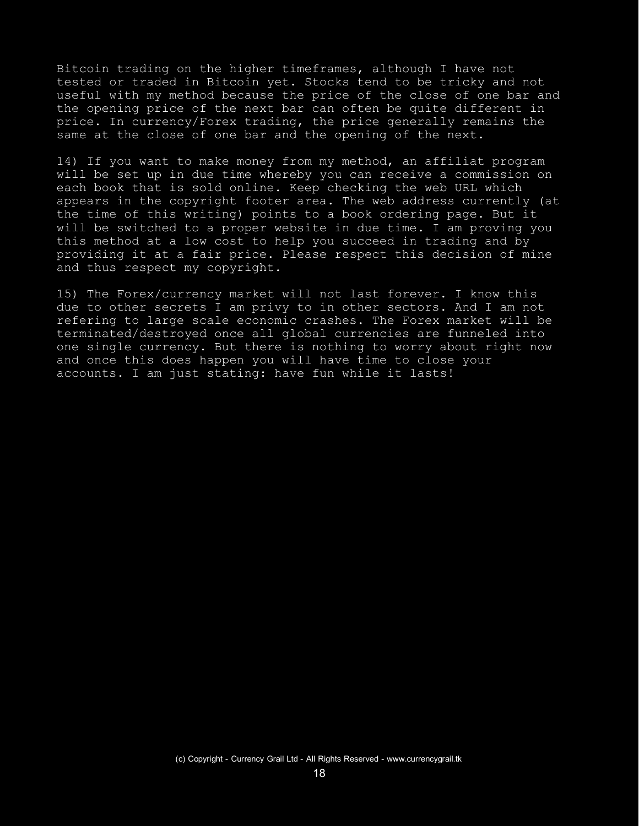Bitcoin trading on the higher timeframes, although I have not tested or traded in Bitcoin yet. Stocks tend to be tricky and not useful with my method because the price of the close of one bar and the opening price of the next bar can often be quite different in price. In currency/Forex trading, the price generally remains the same at the close of one bar and the opening of the next.

14) If you want to make money from my method, an affiliat program will be set up in due time whereby you can receive a commission on each book that is sold online. Keep checking the web URL which appears in the copyright footer area. The web address currently (at the time of this writing) points to a book ordering page. But it will be switched to a proper website in due time. I am proving you this method at a low cost to help you succeed in trading and by providing it at a fair price. Please respect this decision of mine and thus respect my copyright.

15) The Forex/currency market will not last forever. I know this due to other secrets I am privy to in other sectors. And I am not refering to large scale economic crashes. The Forex market will be terminated/destroyed once all global currencies are funneled into one single currency. But there is nothing to worry about right now and once this does happen you will have time to close your accounts. I am just stating: have fun while it lasts!